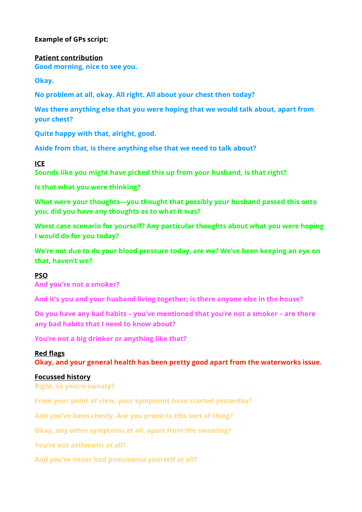# **Example of GPs script:**

**Patient contribution** 

**Good morning, nice to see you.** 

**Okay.**

**No problem at all, okay. All right. All about your chest then today?**

**Was there anything else that you were hoping that we would talk about, apart from your chest?** 

**Quite happy with that, alright, good.** 

**Aside from that, is there anything else that we need to talk about?** 

# **ICE**

**Sounds like you might have picked this up from your husband, is that right?** 

**Is that what you were thinking?** 

**What were your thoughts—you thought that possibly your husband passed this onto you, did you have any thoughts as to what it was?** 

**Worst case scenario for yourself? Any particular thoughts about what you were hoping I would do for you today?** 

**We're not due to do your blood pressure today, are we? We've been keeping an eye on that, haven't we?** 

# **PSO**

**And you're not a smoker?** 

**And it's you and your husband living together; is there anyone else in the house?** 

**Do you have any bad habits – you've mentioned that you're not a smoker – are there any bad habits that I need to know about?** 

**You're not a big drinker or anything like that?** 

# **Red flags**

**Okay, and your general health has been pretty good apart from the waterworks issue.** 

# **Focussed history**

**Right, so you're sweaty?** 

**From your point of view, your symptoms have started yesterday?** 

**And you've been chesty. Are you prone to this sort of thing?** 

**Okay, any other symptoms at all, apart from the sweating?** 

**You're not asthmatic at all?** 

**And you've never had pneumonia yourself at all?**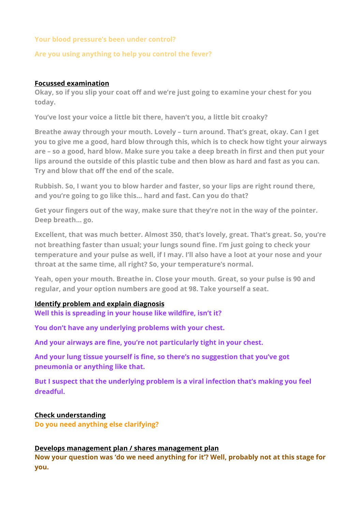# **Your blood pressure's been under control?**

### **Are you using anything to help you control the fever?**

### **Focussed examination**

**Okay, so if you slip your coat off and we're just going to examine your chest for you today.** 

**You've lost your voice a little bit there, haven't you, a little bit croaky?** 

**Breathe away through your mouth. Lovely – turn around. That's great, okay. Can I get you to give me a good, hard blow through this, which is to check how tight your airways are – so a good, hard blow. Make sure you take a deep breath in first and then put your lips around the outside of this plastic tube and then blow as hard and fast as you can. Try and blow that off the end of the scale.** 

**Rubbish. So, I want you to blow harder and faster, so your lips are right round there, and you're going to go like this… hard and fast. Can you do that?** 

**Get your fingers out of the way, make sure that they're not in the way of the pointer. Deep breath… go.** 

**Excellent, that was much better. Almost 350, that's lovely, great. That's great. So, you're not breathing faster than usual; your lungs sound fine. I'm just going to check your temperature and your pulse as well, if I may. I'll also have a loot at your nose and your throat at the same time, all right? So, your temperature's normal.** 

**Yeah, open your mouth. Breathe in. Close your mouth. Great, so your pulse is 90 and regular, and your option numbers are good at 98. Take yourself a seat.** 

### **Identify problem and explain diagnosis**

**Well this is spreading in your house like wildfire, isn't it?** 

**You don't have any underlying problems with your chest.** 

**And your airways are fine, you're not particularly tight in your chest.** 

**And your lung tissue yourself is fine, so there's no suggestion that you've got pneumonia or anything like that.** 

**But I suspect that the underlying problem is a viral infection that's making you feel dreadful.**

# **Check understanding**

**Do you need anything else clarifying?**

### **Develops management plan / shares management plan**

**Now your question was 'do we need anything for it'? Well, probably not at this stage for you.**